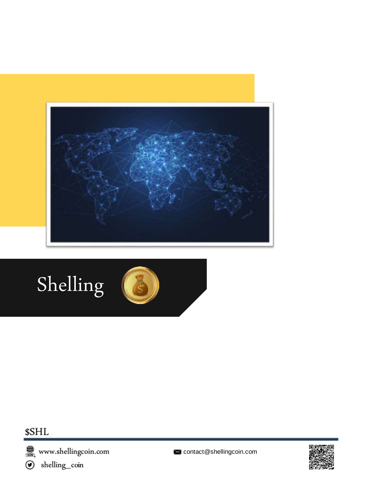

# Shelling



### \$SHL

**om** www.shellingcoin.com<br> **⊙** shelling\_coin



contact@shellingcoin.com

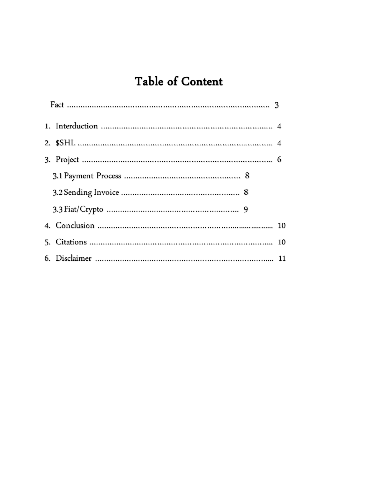# Table of Content

| 10 |
|----|
| 10 |
|    |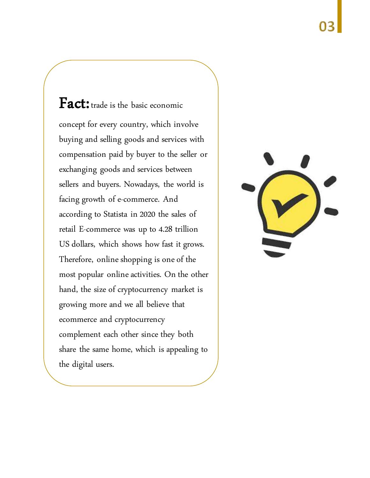Fact: trade is the basic economic concept for every country, which involve buying and selling goods and services with compensation paid by buyer to the seller or exchanging goods and services between sellers and buyers. Nowadays, the world is facing growth of e-commerce. And according to Statista in 2020 the sales of retail E-commerce was up to 4.28 trillion US dollars, which shows how fast it grows. Therefore, online shopping is one of the most popular online activities. On the other hand, the size of cryptocurrency market is growing more and we all believe that ecommerce and cryptocurrency complement each other since they both share the same home, which is appealing to the digital users.

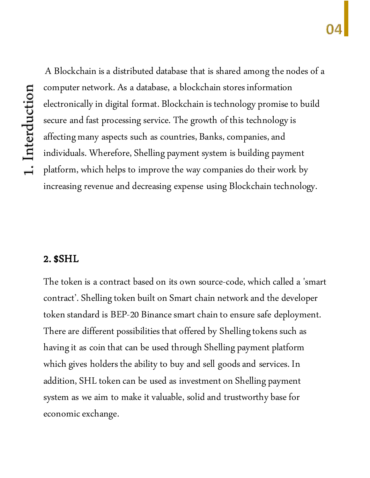A Blockchain is a distributed database that is shared among the nodes of a computer network. As a database, a blockchain stores information electronically in digital format. Blockchain is technology promise to build secure and fast processing service. The growth of this technology is affecting many aspects such as countries, Banks, companies, and individuals. Wherefore, Shelling payment system is building payment platform, which helps to improve the way companies do their work by increasing revenue and decreasing expense using Blockchain technology.

#### 2. \$SHL

The token is a contract based on its own source-code, which called a 'smart contract'. Shelling token built on Smart chain network and the developer token standard is BEP-20 Binance smart chain to ensure safe deployment. There are different possibilities that offered by Shelling tokens such as having it as coin that can be used through Shelling payment platform which gives holders the ability to buy and sell goods and services. In addition, SHL token can be used as investment on Shelling payment system as we aim to make it valuable, solid and trustworthy base for economic exchange.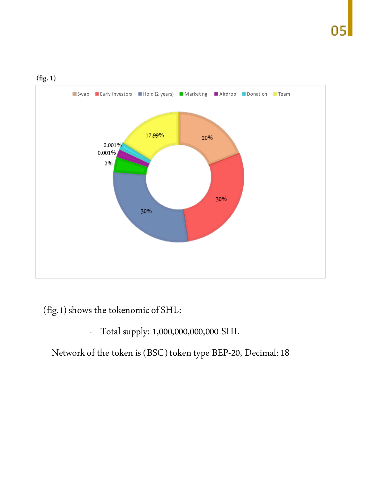



(fig.1) shows the tokenomic of SHL:

- Total supply: 1,000,000,000,000 SHL

Network of the token is (BSC) token type BEP-20, Decimal: 18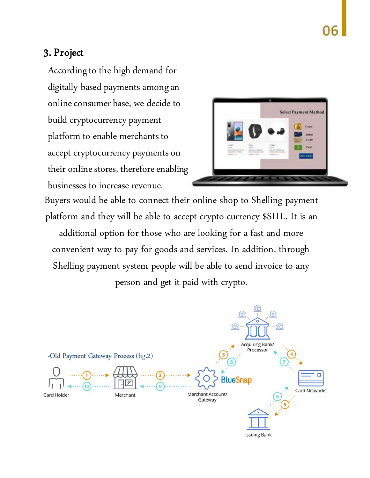#### 3. Project

According to the high demand for digitally based payments among an online consumer base, we decide to build cryptocurrency payment platform to enable merchants to accept cryptocurrency payments on their online stores, therefore enabling businesses to increase revenue.



Buyers would be able to connect their online shop to Shelling payment platform and they will be able to accept crypto currency \$SHL. It is an additional option for those who are looking for a fast and more convenient way to pay for goods and services. In addition, through Shelling payment system people will be able to send invoice to any person and get it paid with crypto.

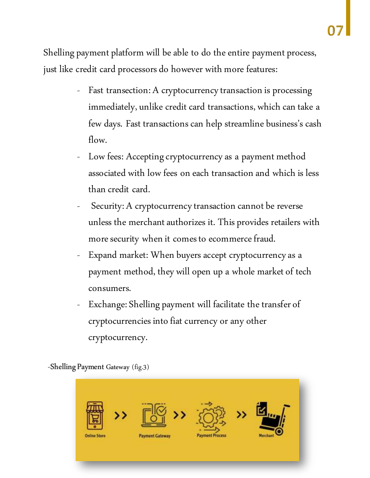Shelling payment platform will be able to do the entire payment process, just like credit card processors do however with more features:

- Fast transection: A cryptocurrency transaction is processing immediately, unlike credit card transactions, which can take a few days. Fast transactions can help streamline business's cash flow.
- Low fees: Accepting cryptocurrency as a payment method associated with low fees on each transaction and which is less than credit card.
- Security: A cryptocurrency transaction cannot be reverse unless the merchant authorizes it. This provides retailers with more security when it comes to ecommerce fraud.
- Expand market: When buyers accept cryptocurrency as a payment method, they will open up a whole market of tech consumers.
- Exchange: Shelling payment will facilitate the transfer of cryptocurrencies into fiat currency or any other cryptocurrency.

-Shelling Payment Gateway (fig.3)

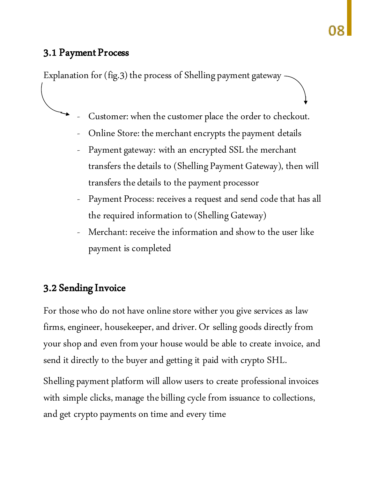#### 3.1 Payment Process

Explanation for (fig.3) the process of Shelling payment gateway

- Customer: when the customer place the order to checkout.
- Online Store: the merchant encrypts the payment details
- Payment gateway: with an encrypted SSL the merchant transfers the details to (Shelling Payment Gateway), then will transfers the details to the payment processor
- Payment Process: receives a request and send code that has all the required information to (Shelling Gateway)
- Merchant: receive the information and show to the user like payment is completed

#### 3.2 Sending Invoice

For those who do not have online store wither you give services as law firms, engineer, housekeeper, and driver. Or selling goods directly from your shop and even from your house would be able to create invoice, and send it directly to the buyer and getting it paid with crypto SHL.

Shelling payment platform will allow users to create professional invoices with simple clicks, manage the billing cycle from issuance to collections, and get crypto payments on time and every time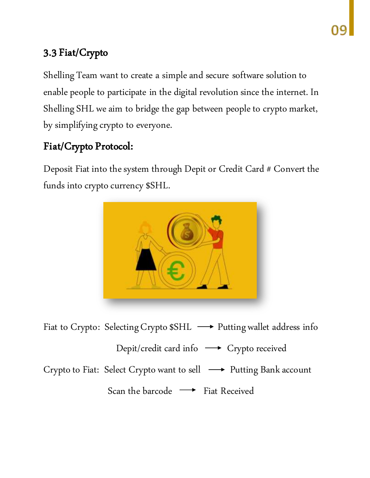## 3.3 Fiat/Crypto

Shelling Team want to create a simple and secure software solution to enable people to participate in the digital revolution since the internet. In Shelling SHL we aim to bridge the gap between people to crypto market, by simplifying crypto to everyone.

### Fiat/Crypto Protocol:

Deposit Fiat into the system through Depit or Credit Card # Convert the funds into crypto currency \$SHL.



Fiat to Crypto: Selecting Crypto \$SHL  $\longrightarrow$  Putting wallet address info

Depit/credit card info -> Crypto received

Crypto to Fiat: Select Crypto want to sell  $\longrightarrow$  Putting Bank account

Scan the barcode  $\longrightarrow$  Fiat Received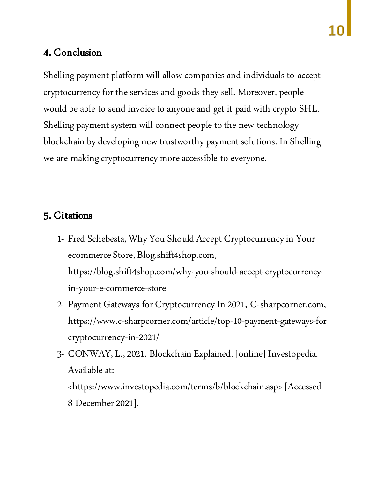#### 4. Conclusion

Shelling payment platform will allow companies and individuals to accept cryptocurrency for the services and goods they sell. Moreover, people would be able to send invoice to anyone and get it paid with crypto SHL. Shelling payment system will connect people to the new technology blockchain by developing new trustworthy payment solutions. In Shelling we are making cryptocurrency more accessible to everyone.

#### 5. Citations

- 1- Fred Schebesta, Why You Should Accept Cryptocurrency in Your ecommerce Store, Blog.shift4shop.com, https://blog.shift4shop.com/why-you-should-accept-cryptocurrencyin-your-e-commerce-store
- 2- Payment Gateways for Cryptocurrency In 2021, C-sharpcorner.com, https://www.c-sharpcorner.com/article/top-10-payment-gateways-for cryptocurrency-in-2021/
- 3- CONWAY, L., 2021. Blockchain Explained. [online] Investopedia. Available at:

<https://www.investopedia.com/terms/b/blockchain.asp> [Accessed 8 December 2021].